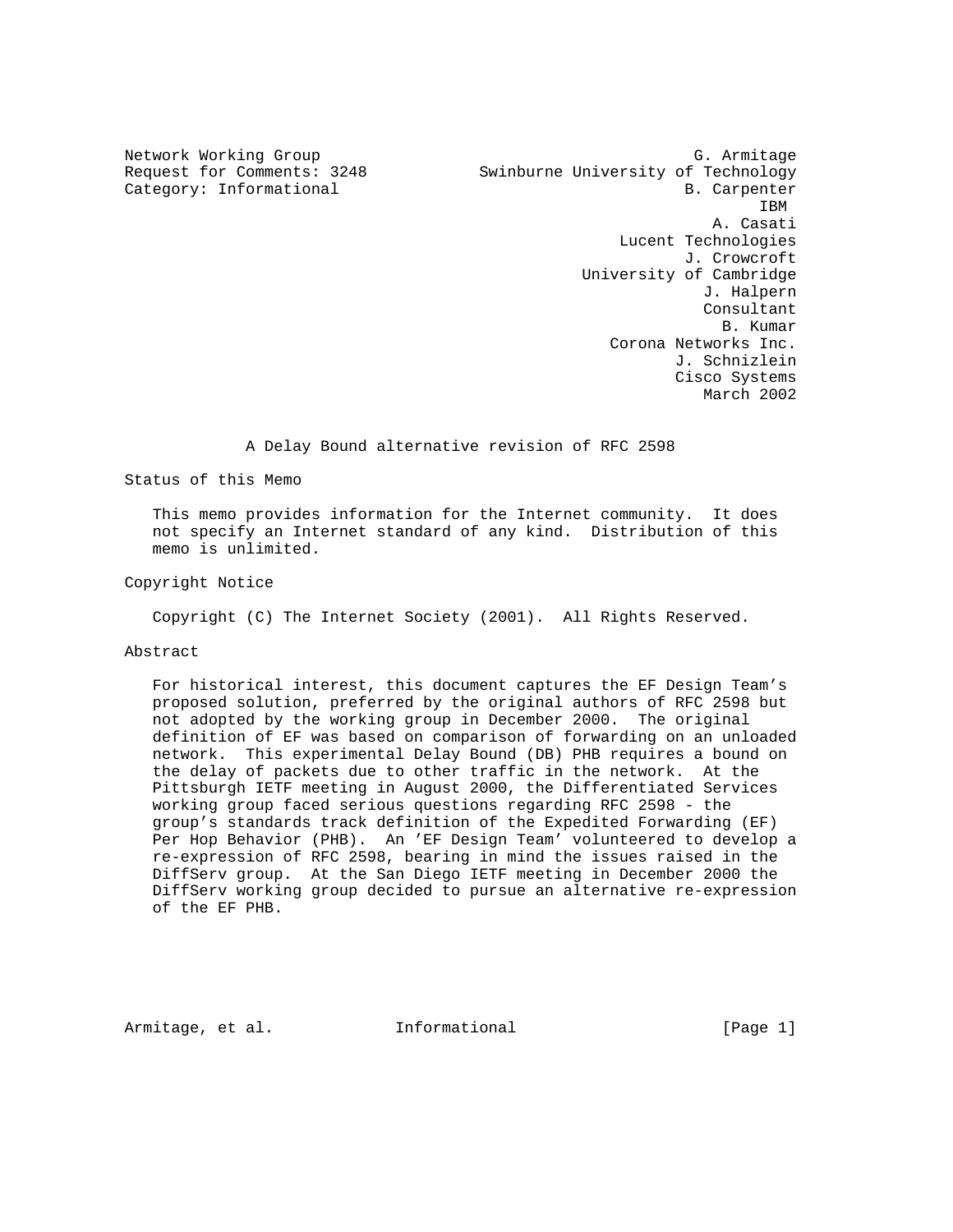Network Working Group G. Armitage G. Armitage Request for Comments: 3248 Swinburne University of Technology Category: Informational B. Carpenter **IBM**  A. Casati Lucent Technologies J. Crowcroft University of Cambridge J. Halpern Consultant<br>B. Kumar B. Kumar Corona Networks Inc. J. Schnizlein Cisco Systems March 2002

A Delay Bound alternative revision of RFC 2598

Status of this Memo

 This memo provides information for the Internet community. It does not specify an Internet standard of any kind. Distribution of this memo is unlimited.

Copyright Notice

Copyright (C) The Internet Society (2001). All Rights Reserved.

### Abstract

 For historical interest, this document captures the EF Design Team's proposed solution, preferred by the original authors of RFC 2598 but not adopted by the working group in December 2000. The original definition of EF was based on comparison of forwarding on an unloaded network. This experimental Delay Bound (DB) PHB requires a bound on the delay of packets due to other traffic in the network. At the Pittsburgh IETF meeting in August 2000, the Differentiated Services working group faced serious questions regarding RFC 2598 - the group's standards track definition of the Expedited Forwarding (EF) Per Hop Behavior (PHB). An 'EF Design Team' volunteered to develop a re-expression of RFC 2598, bearing in mind the issues raised in the DiffServ group. At the San Diego IETF meeting in December 2000 the DiffServ working group decided to pursue an alternative re-expression of the EF PHB.

Armitage, et al.  $I_n$  Informational [Page 1]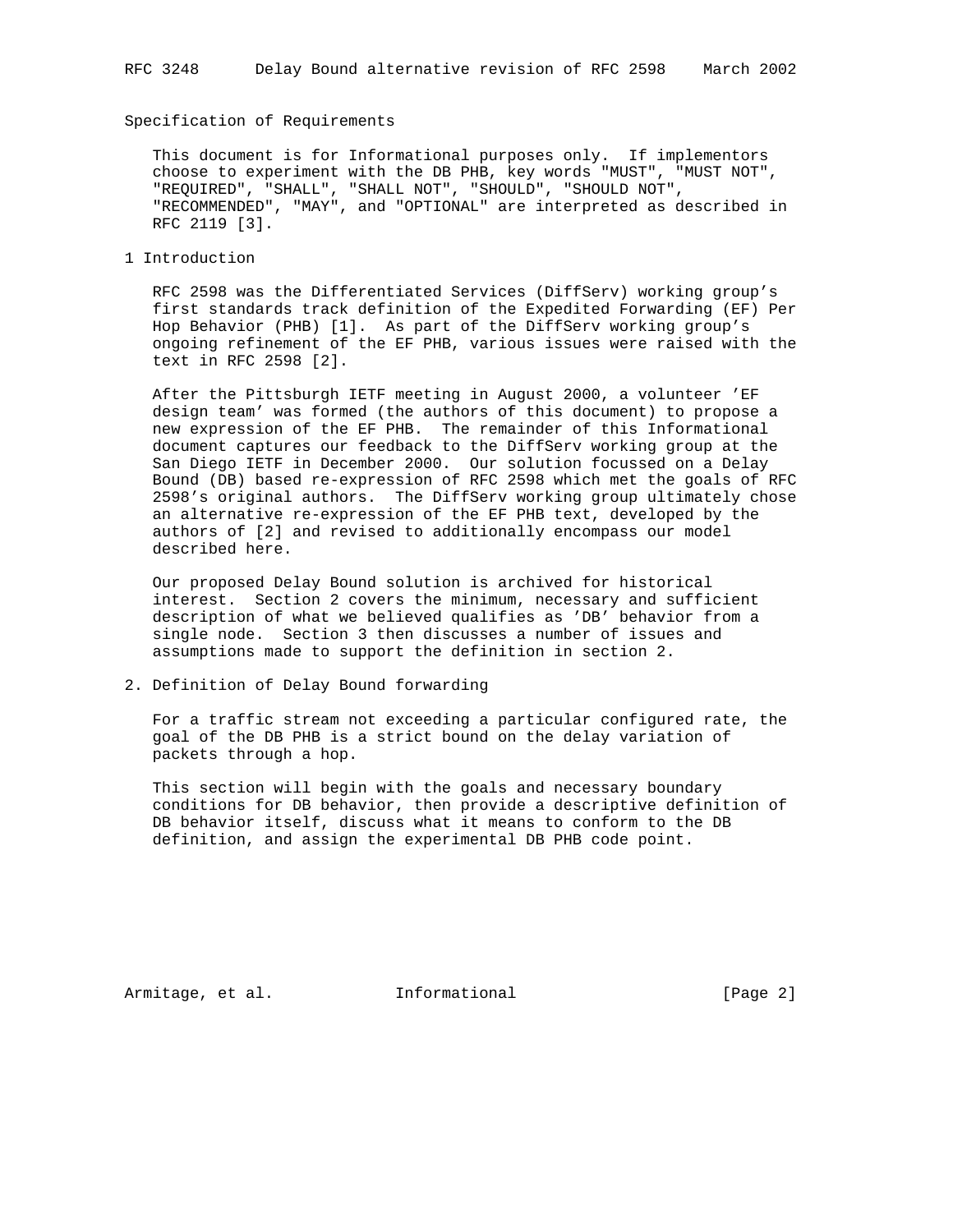## Specification of Requirements

 This document is for Informational purposes only. If implementors choose to experiment with the DB PHB, key words "MUST", "MUST NOT", "REQUIRED", "SHALL", "SHALL NOT", "SHOULD", "SHOULD NOT", "RECOMMENDED", "MAY", and "OPTIONAL" are interpreted as described in RFC 2119 [3].

1 Introduction

 RFC 2598 was the Differentiated Services (DiffServ) working group's first standards track definition of the Expedited Forwarding (EF) Per Hop Behavior (PHB) [1]. As part of the DiffServ working group's ongoing refinement of the EF PHB, various issues were raised with the text in RFC 2598 [2].

 After the Pittsburgh IETF meeting in August 2000, a volunteer 'EF design team' was formed (the authors of this document) to propose a new expression of the EF PHB. The remainder of this Informational document captures our feedback to the DiffServ working group at the San Diego IETF in December 2000. Our solution focussed on a Delay Bound (DB) based re-expression of RFC 2598 which met the goals of RFC 2598's original authors. The DiffServ working group ultimately chose an alternative re-expression of the EF PHB text, developed by the authors of [2] and revised to additionally encompass our model described here.

 Our proposed Delay Bound solution is archived for historical interest. Section 2 covers the minimum, necessary and sufficient description of what we believed qualifies as 'DB' behavior from a single node. Section 3 then discusses a number of issues and assumptions made to support the definition in section 2.

2. Definition of Delay Bound forwarding

 For a traffic stream not exceeding a particular configured rate, the goal of the DB PHB is a strict bound on the delay variation of packets through a hop.

 This section will begin with the goals and necessary boundary conditions for DB behavior, then provide a descriptive definition of DB behavior itself, discuss what it means to conform to the DB definition, and assign the experimental DB PHB code point.

Armitage, et al. 1nformational 1999 [Page 2]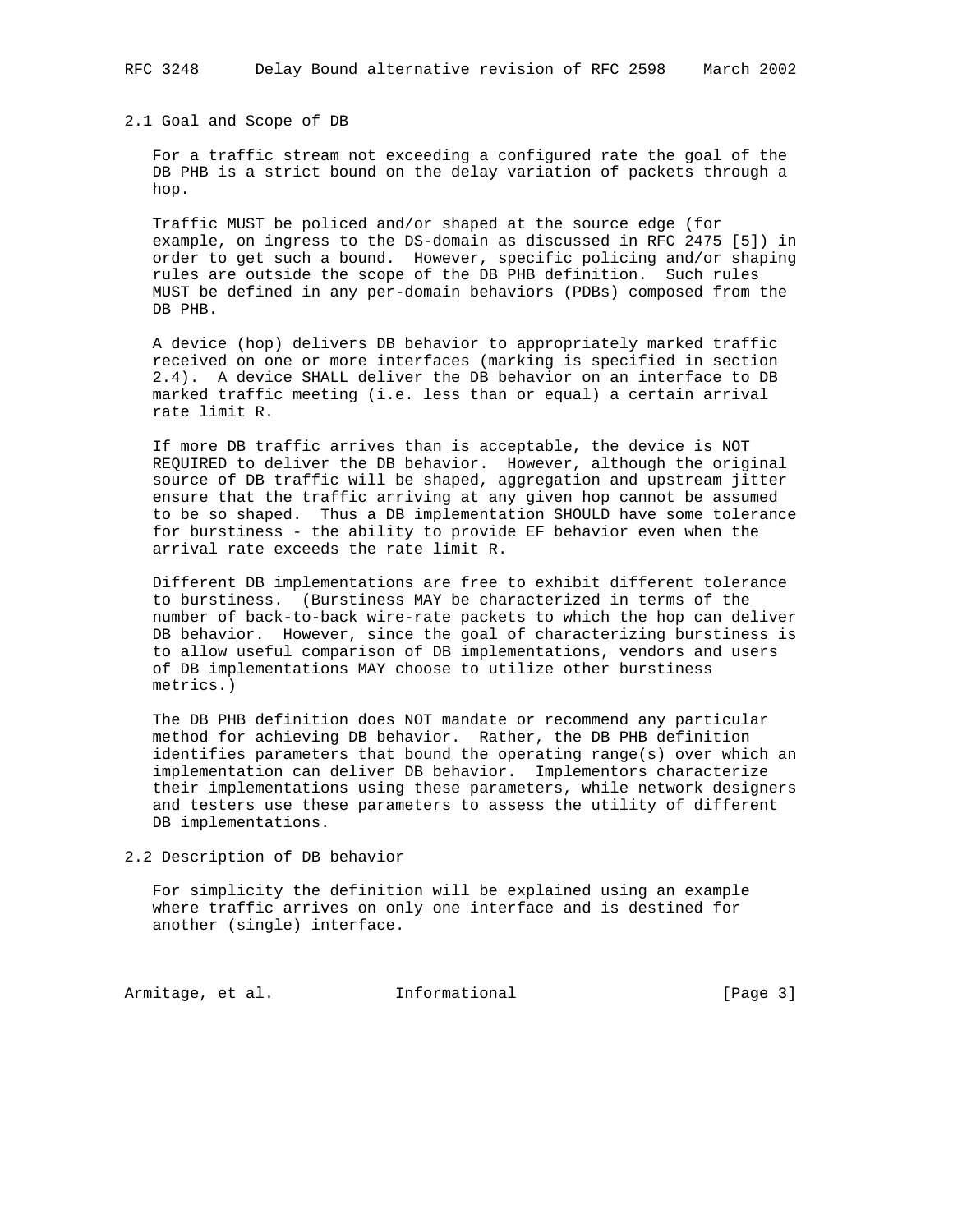## 2.1 Goal and Scope of DB

 For a traffic stream not exceeding a configured rate the goal of the DB PHB is a strict bound on the delay variation of packets through a hop.

 Traffic MUST be policed and/or shaped at the source edge (for example, on ingress to the DS-domain as discussed in RFC 2475 [5]) in order to get such a bound. However, specific policing and/or shaping rules are outside the scope of the DB PHB definition. Such rules MUST be defined in any per-domain behaviors (PDBs) composed from the DB PHB.

 A device (hop) delivers DB behavior to appropriately marked traffic received on one or more interfaces (marking is specified in section 2.4). A device SHALL deliver the DB behavior on an interface to DB marked traffic meeting (i.e. less than or equal) a certain arrival rate limit R.

 If more DB traffic arrives than is acceptable, the device is NOT REQUIRED to deliver the DB behavior. However, although the original source of DB traffic will be shaped, aggregation and upstream jitter ensure that the traffic arriving at any given hop cannot be assumed to be so shaped. Thus a DB implementation SHOULD have some tolerance for burstiness - the ability to provide EF behavior even when the arrival rate exceeds the rate limit R.

 Different DB implementations are free to exhibit different tolerance to burstiness. (Burstiness MAY be characterized in terms of the number of back-to-back wire-rate packets to which the hop can deliver DB behavior. However, since the goal of characterizing burstiness is to allow useful comparison of DB implementations, vendors and users of DB implementations MAY choose to utilize other burstiness metrics.)

 The DB PHB definition does NOT mandate or recommend any particular method for achieving DB behavior. Rather, the DB PHB definition identifies parameters that bound the operating range(s) over which an implementation can deliver DB behavior. Implementors characterize their implementations using these parameters, while network designers and testers use these parameters to assess the utility of different DB implementations.

2.2 Description of DB behavior

 For simplicity the definition will be explained using an example where traffic arrives on only one interface and is destined for another (single) interface.

Armitage, et al. 1nformational 1999 [Page 3]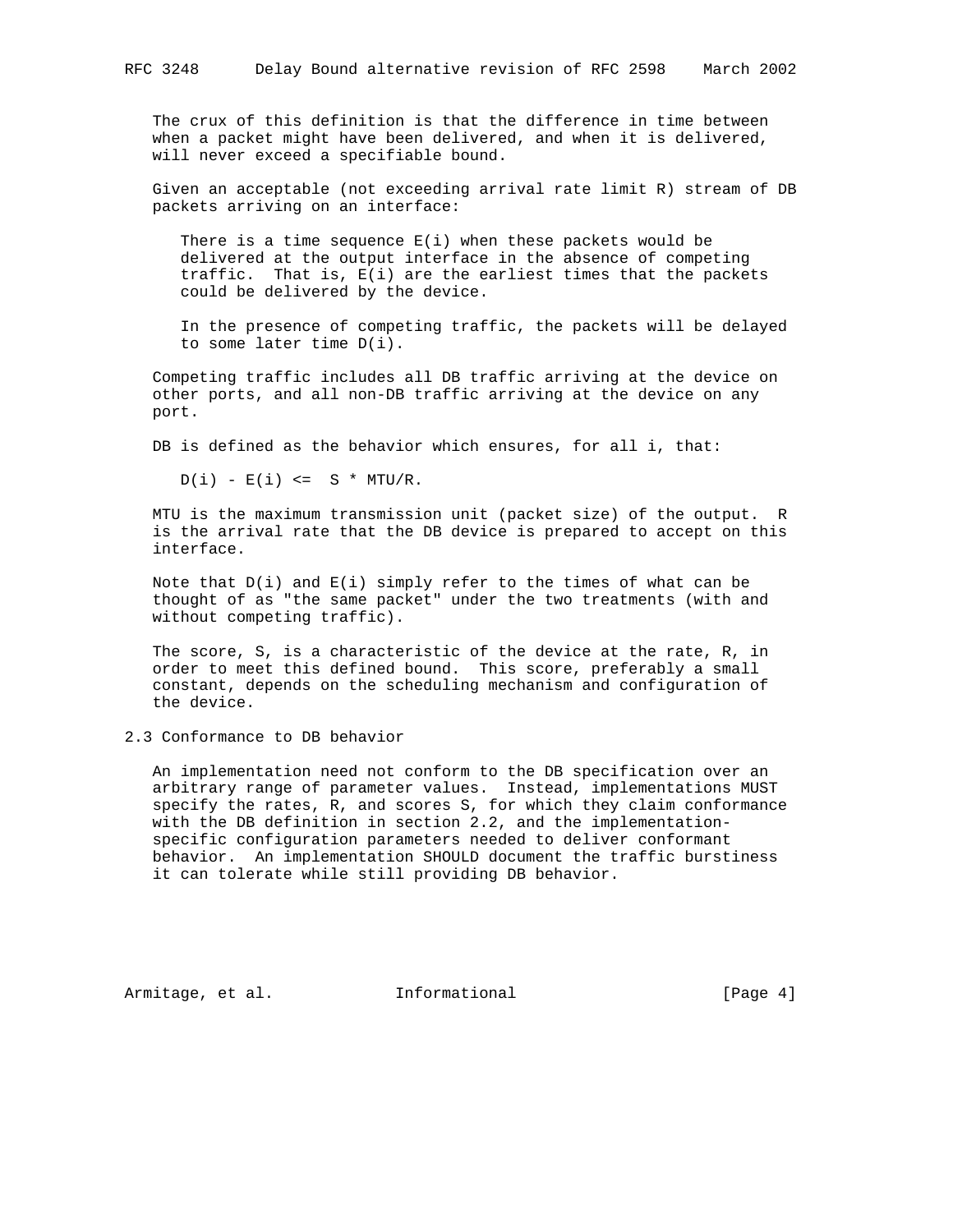The crux of this definition is that the difference in time between when a packet might have been delivered, and when it is delivered, will never exceed a specifiable bound.

 Given an acceptable (not exceeding arrival rate limit R) stream of DB packets arriving on an interface:

There is a time sequence  $E(i)$  when these packets would be delivered at the output interface in the absence of competing traffic. That is, E(i) are the earliest times that the packets could be delivered by the device.

 In the presence of competing traffic, the packets will be delayed to some later time D(i).

 Competing traffic includes all DB traffic arriving at the device on other ports, and all non-DB traffic arriving at the device on any port.

DB is defined as the behavior which ensures, for all i, that:

 $D(i) - E(i) \leq S * MTU/R.$ 

 MTU is the maximum transmission unit (packet size) of the output. R is the arrival rate that the DB device is prepared to accept on this interface.

Note that  $D(i)$  and  $E(i)$  simply refer to the times of what can be thought of as "the same packet" under the two treatments (with and without competing traffic).

 The score, S, is a characteristic of the device at the rate, R, in order to meet this defined bound. This score, preferably a small constant, depends on the scheduling mechanism and configuration of the device.

2.3 Conformance to DB behavior

 An implementation need not conform to the DB specification over an arbitrary range of parameter values. Instead, implementations MUST specify the rates, R, and scores S, for which they claim conformance with the DB definition in section 2.2, and the implementation specific configuration parameters needed to deliver conformant behavior. An implementation SHOULD document the traffic burstiness it can tolerate while still providing DB behavior.

Armitage, et al. 1nformational 1999 [Page 4]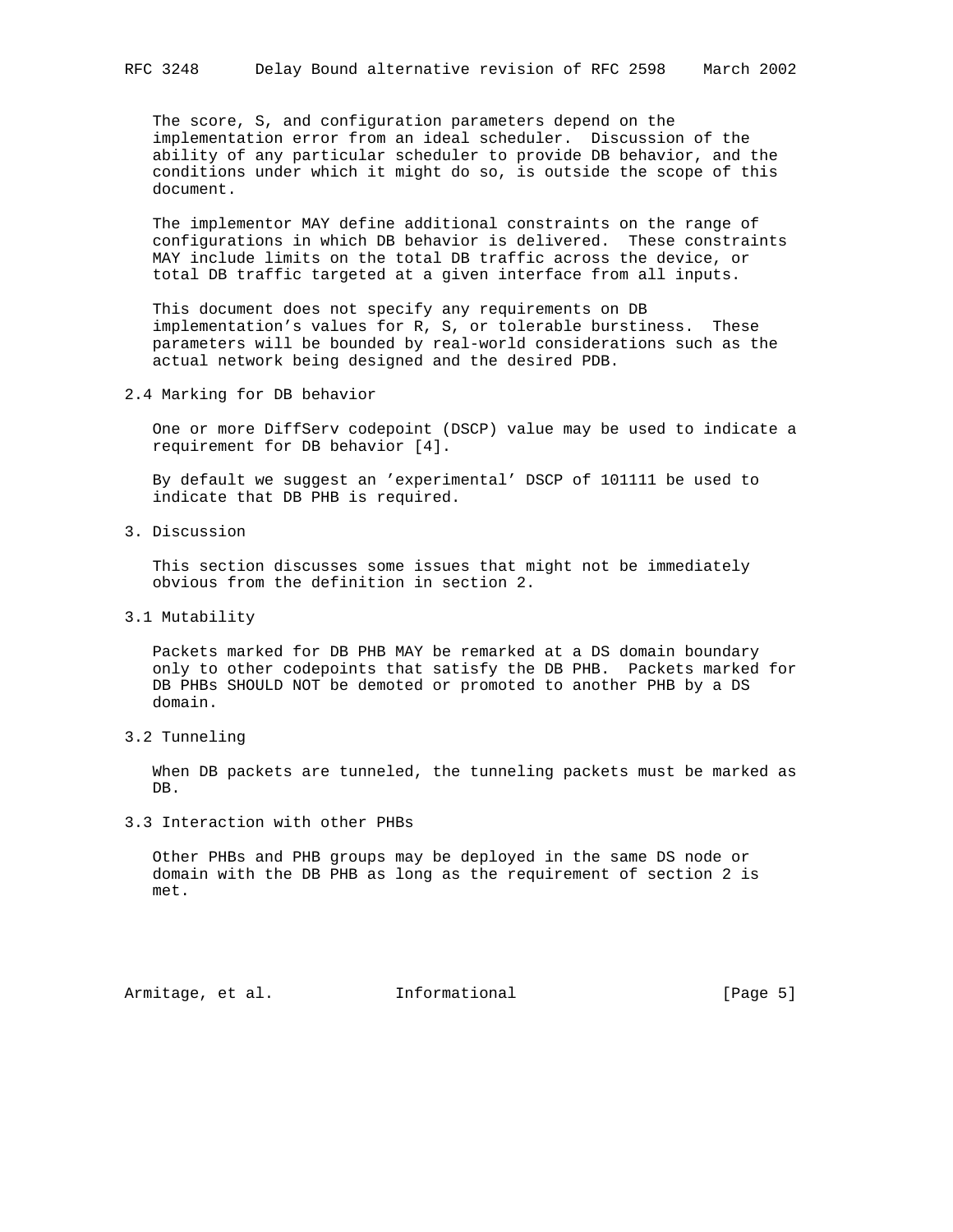The score, S, and configuration parameters depend on the implementation error from an ideal scheduler. Discussion of the ability of any particular scheduler to provide DB behavior, and the conditions under which it might do so, is outside the scope of this document.

 The implementor MAY define additional constraints on the range of configurations in which DB behavior is delivered. These constraints MAY include limits on the total DB traffic across the device, or total DB traffic targeted at a given interface from all inputs.

 This document does not specify any requirements on DB implementation's values for R, S, or tolerable burstiness. These parameters will be bounded by real-world considerations such as the actual network being designed and the desired PDB.

2.4 Marking for DB behavior

 One or more DiffServ codepoint (DSCP) value may be used to indicate a requirement for DB behavior [4].

 By default we suggest an 'experimental' DSCP of 101111 be used to indicate that DB PHB is required.

3. Discussion

 This section discusses some issues that might not be immediately obvious from the definition in section 2.

3.1 Mutability

 Packets marked for DB PHB MAY be remarked at a DS domain boundary only to other codepoints that satisfy the DB PHB. Packets marked for DB PHBs SHOULD NOT be demoted or promoted to another PHB by a DS domain.

3.2 Tunneling

 When DB packets are tunneled, the tunneling packets must be marked as DB.

3.3 Interaction with other PHBs

 Other PHBs and PHB groups may be deployed in the same DS node or domain with the DB PHB as long as the requirement of section 2 is met.

Armitage, et al. 1nformational [Page 5]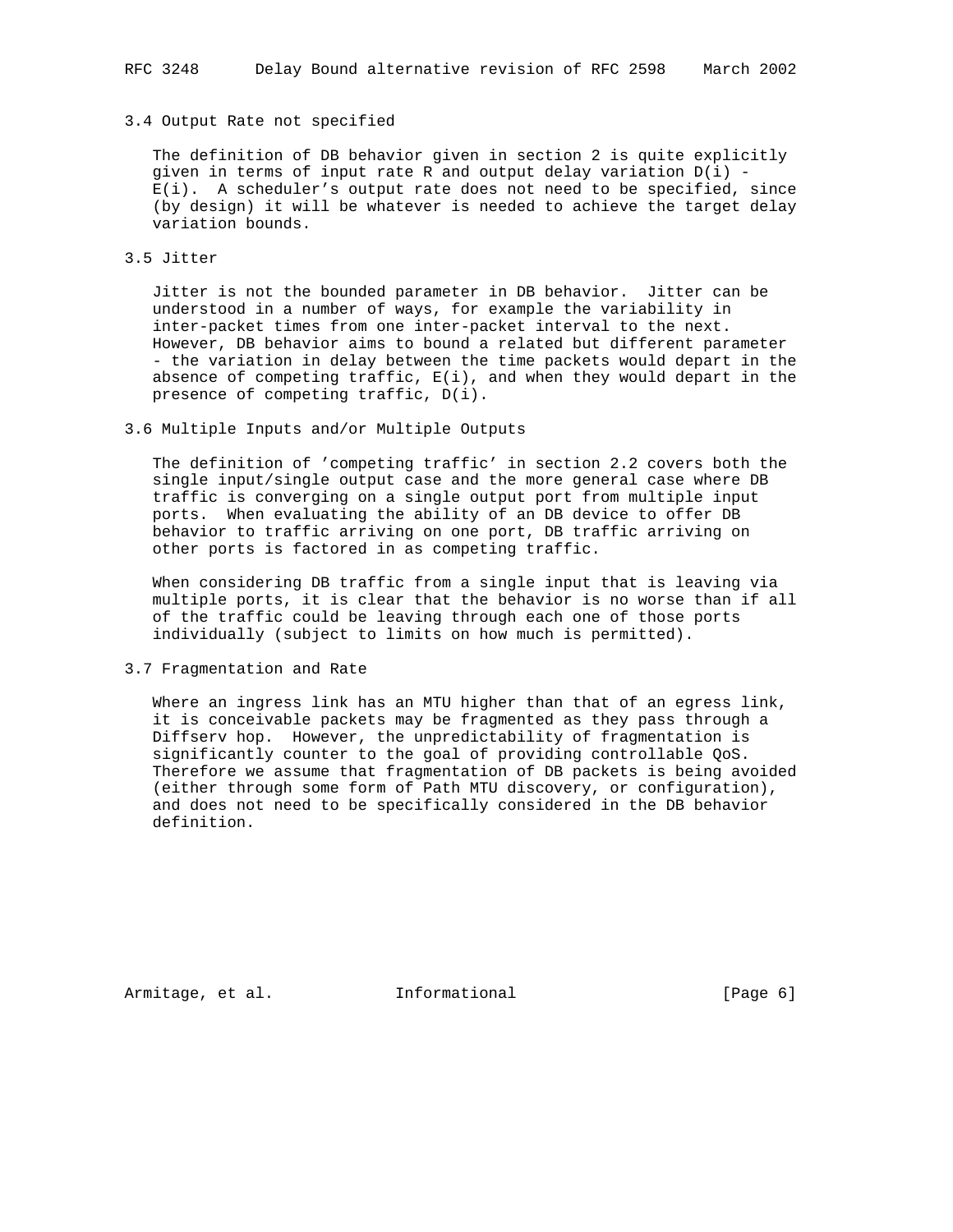## 3.4 Output Rate not specified

 The definition of DB behavior given in section 2 is quite explicitly given in terms of input rate R and output delay variation  $D(i)$  - E(i). A scheduler's output rate does not need to be specified, since (by design) it will be whatever is needed to achieve the target delay variation bounds.

# 3.5 Jitter

 Jitter is not the bounded parameter in DB behavior. Jitter can be understood in a number of ways, for example the variability in inter-packet times from one inter-packet interval to the next. However, DB behavior aims to bound a related but different parameter - the variation in delay between the time packets would depart in the absence of competing  $\text{traffic}, E(i)$ , and when they would depart in the presence of competing traffic, D(i).

# 3.6 Multiple Inputs and/or Multiple Outputs

 The definition of 'competing traffic' in section 2.2 covers both the single input/single output case and the more general case where DB traffic is converging on a single output port from multiple input ports. When evaluating the ability of an DB device to offer DB behavior to traffic arriving on one port, DB traffic arriving on other ports is factored in as competing traffic.

 When considering DB traffic from a single input that is leaving via multiple ports, it is clear that the behavior is no worse than if all of the traffic could be leaving through each one of those ports individually (subject to limits on how much is permitted).

3.7 Fragmentation and Rate

 Where an ingress link has an MTU higher than that of an egress link, it is conceivable packets may be fragmented as they pass through a Diffserv hop. However, the unpredictability of fragmentation is significantly counter to the goal of providing controllable QoS. Therefore we assume that fragmentation of DB packets is being avoided (either through some form of Path MTU discovery, or configuration), and does not need to be specifically considered in the DB behavior definition.

Armitage, et al. **Informational** [Page 6]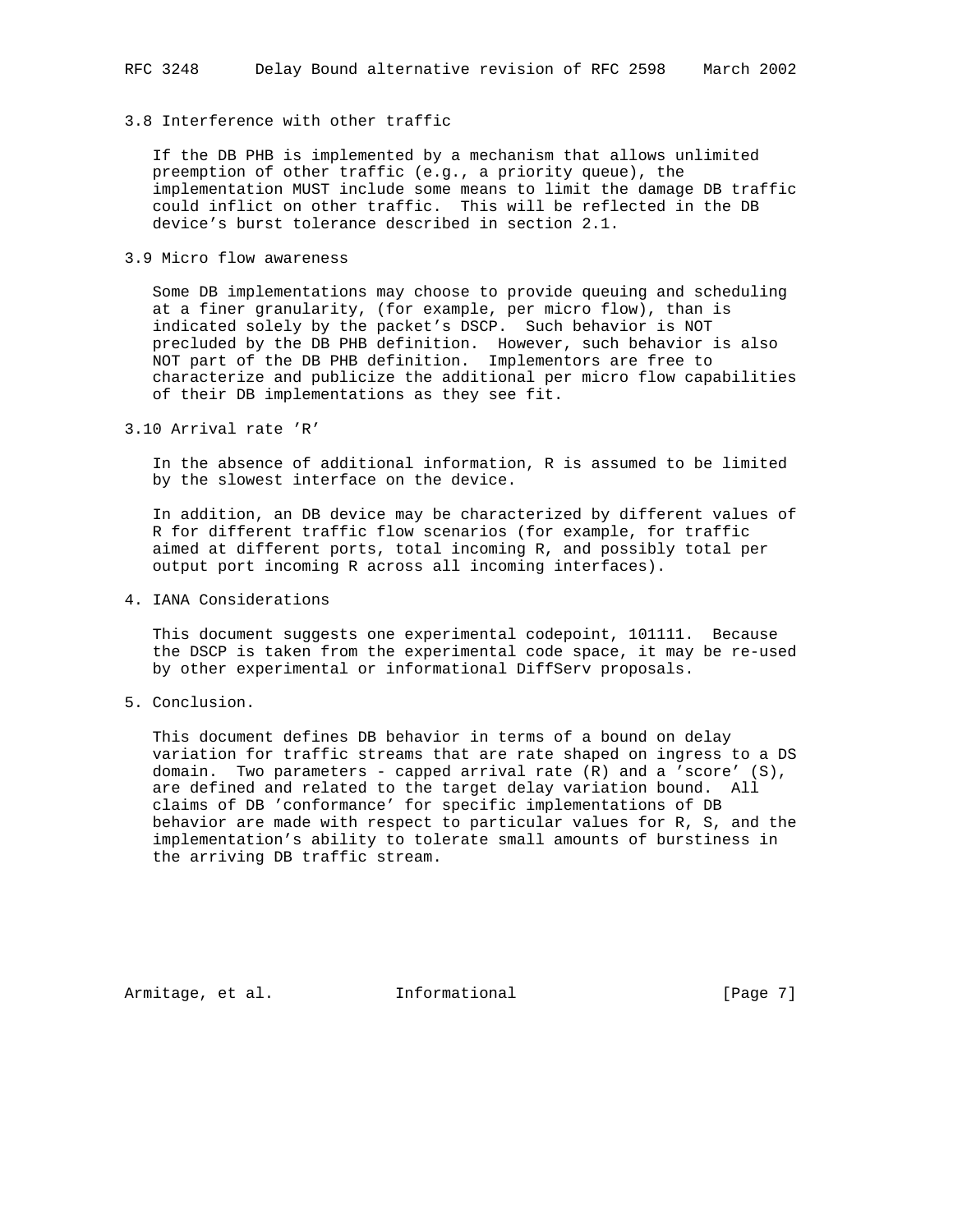# 3.8 Interference with other traffic

 If the DB PHB is implemented by a mechanism that allows unlimited preemption of other traffic (e.g., a priority queue), the implementation MUST include some means to limit the damage DB traffic could inflict on other traffic. This will be reflected in the DB device's burst tolerance described in section 2.1.

## 3.9 Micro flow awareness

 Some DB implementations may choose to provide queuing and scheduling at a finer granularity, (for example, per micro flow), than is indicated solely by the packet's DSCP. Such behavior is NOT precluded by the DB PHB definition. However, such behavior is also NOT part of the DB PHB definition. Implementors are free to characterize and publicize the additional per micro flow capabilities of their DB implementations as they see fit.

3.10 Arrival rate 'R'

 In the absence of additional information, R is assumed to be limited by the slowest interface on the device.

 In addition, an DB device may be characterized by different values of R for different traffic flow scenarios (for example, for traffic aimed at different ports, total incoming R, and possibly total per output port incoming R across all incoming interfaces).

4. IANA Considerations

 This document suggests one experimental codepoint, 101111. Because the DSCP is taken from the experimental code space, it may be re-used by other experimental or informational DiffServ proposals.

5. Conclusion.

 This document defines DB behavior in terms of a bound on delay variation for traffic streams that are rate shaped on ingress to a DS domain. Two parameters - capped arrival rate (R) and a 'score' (S), are defined and related to the target delay variation bound. All claims of DB 'conformance' for specific implementations of DB behavior are made with respect to particular values for R, S, and the implementation's ability to tolerate small amounts of burstiness in the arriving DB traffic stream.

Armitage, et al. 1nformational [Page 7]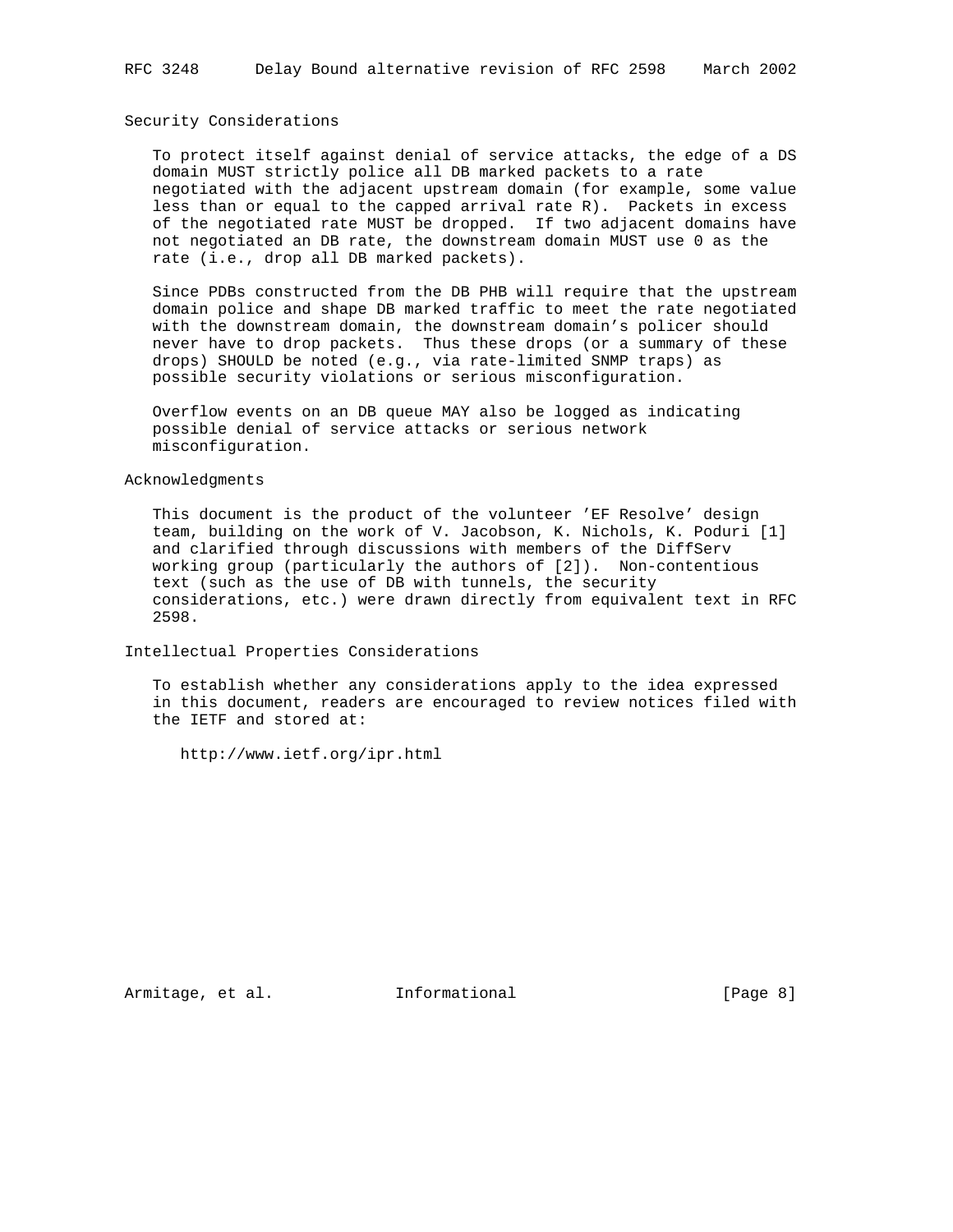### Security Considerations

 To protect itself against denial of service attacks, the edge of a DS domain MUST strictly police all DB marked packets to a rate negotiated with the adjacent upstream domain (for example, some value less than or equal to the capped arrival rate R). Packets in excess of the negotiated rate MUST be dropped. If two adjacent domains have not negotiated an DB rate, the downstream domain MUST use 0 as the rate (i.e., drop all DB marked packets).

 Since PDBs constructed from the DB PHB will require that the upstream domain police and shape DB marked traffic to meet the rate negotiated with the downstream domain, the downstream domain's policer should never have to drop packets. Thus these drops (or a summary of these drops) SHOULD be noted (e.g., via rate-limited SNMP traps) as possible security violations or serious misconfiguration.

 Overflow events on an DB queue MAY also be logged as indicating possible denial of service attacks or serious network misconfiguration.

# Acknowledgments

 This document is the product of the volunteer 'EF Resolve' design team, building on the work of V. Jacobson, K. Nichols, K. Poduri [1] and clarified through discussions with members of the DiffServ working group (particularly the authors of [2]). Non-contentious text (such as the use of DB with tunnels, the security considerations, etc.) were drawn directly from equivalent text in RFC 2598.

Intellectual Properties Considerations

 To establish whether any considerations apply to the idea expressed in this document, readers are encouraged to review notices filed with the IETF and stored at:

http://www.ietf.org/ipr.html

Armitage, et al. 1nformational [Page 8]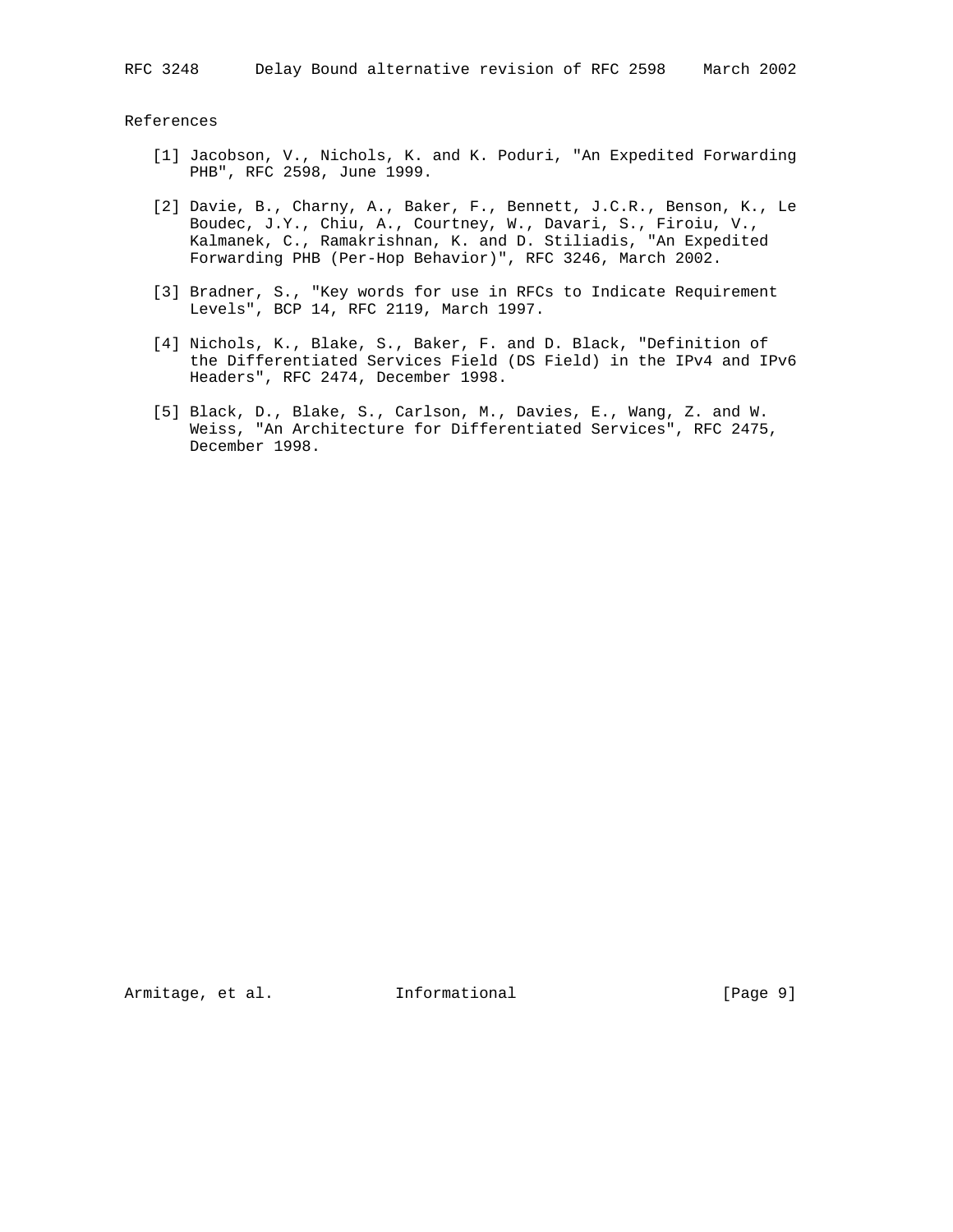### References

- [1] Jacobson, V., Nichols, K. and K. Poduri, "An Expedited Forwarding PHB", RFC 2598, June 1999.
- [2] Davie, B., Charny, A., Baker, F., Bennett, J.C.R., Benson, K., Le Boudec, J.Y., Chiu, A., Courtney, W., Davari, S., Firoiu, V., Kalmanek, C., Ramakrishnan, K. and D. Stiliadis, "An Expedited Forwarding PHB (Per-Hop Behavior)", RFC 3246, March 2002.
- [3] Bradner, S., "Key words for use in RFCs to Indicate Requirement Levels", BCP 14, RFC 2119, March 1997.
- [4] Nichols, K., Blake, S., Baker, F. and D. Black, "Definition of the Differentiated Services Field (DS Field) in the IPv4 and IPv6 Headers", RFC 2474, December 1998.
- [5] Black, D., Blake, S., Carlson, M., Davies, E., Wang, Z. and W. Weiss, "An Architecture for Differentiated Services", RFC 2475, December 1998.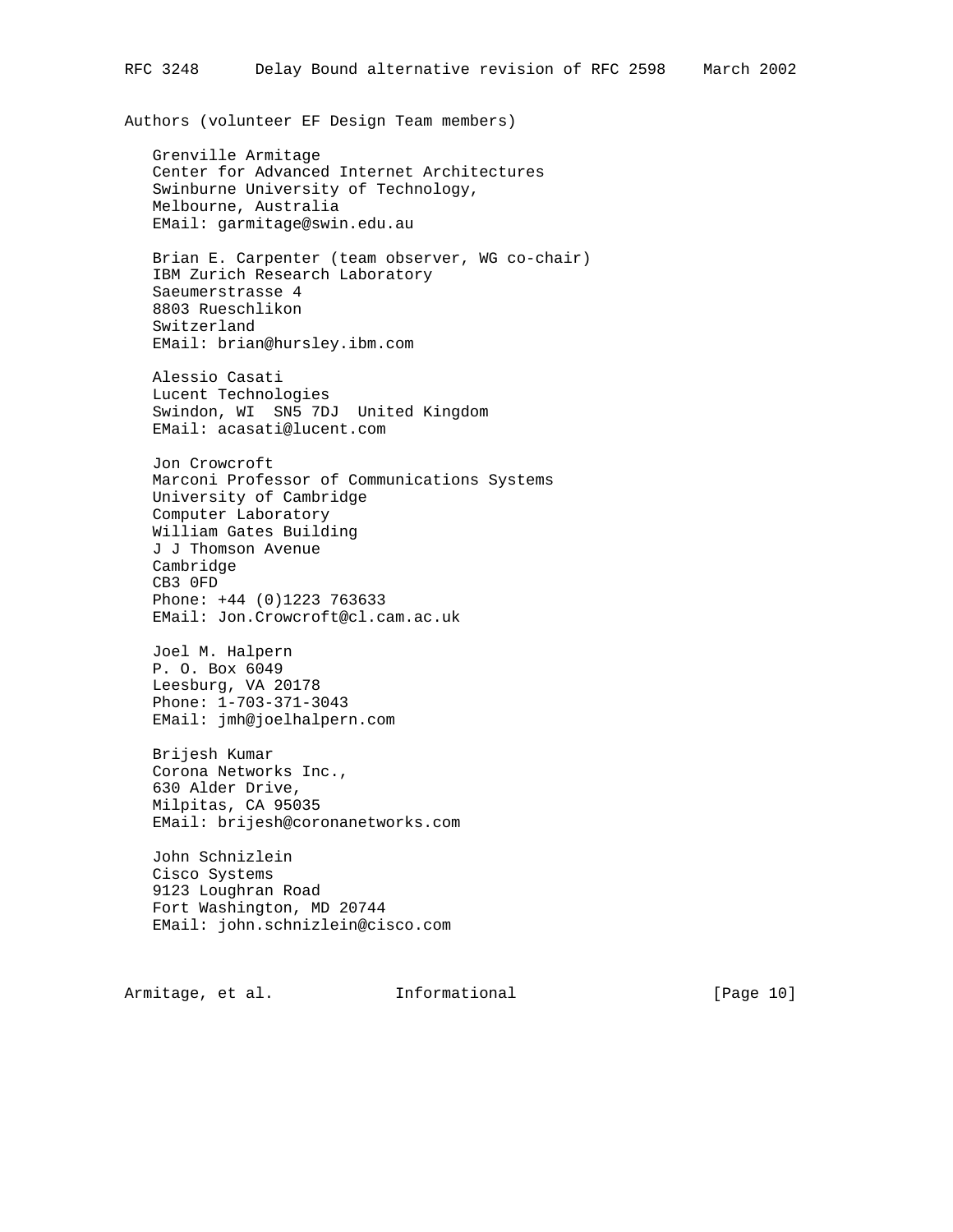Authors (volunteer EF Design Team members)

 Grenville Armitage Center for Advanced Internet Architectures Swinburne University of Technology, Melbourne, Australia EMail: garmitage@swin.edu.au

 Brian E. Carpenter (team observer, WG co-chair) IBM Zurich Research Laboratory Saeumerstrasse 4 8803 Rueschlikon Switzerland EMail: brian@hursley.ibm.com

 Alessio Casati Lucent Technologies Swindon, WI SN5 7DJ United Kingdom EMail: acasati@lucent.com

 Jon Crowcroft Marconi Professor of Communications Systems University of Cambridge Computer Laboratory William Gates Building J J Thomson Avenue Cambridge CB3 0FD Phone: +44 (0)1223 763633 EMail: Jon.Crowcroft@cl.cam.ac.uk

 Joel M. Halpern P. O. Box 6049 Leesburg, VA 20178 Phone: 1-703-371-3043 EMail: jmh@joelhalpern.com

 Brijesh Kumar Corona Networks Inc., 630 Alder Drive, Milpitas, CA 95035 EMail: brijesh@coronanetworks.com

 John Schnizlein Cisco Systems 9123 Loughran Road Fort Washington, MD 20744 EMail: john.schnizlein@cisco.com

Armitage, et al. **Informational** [Page 10]